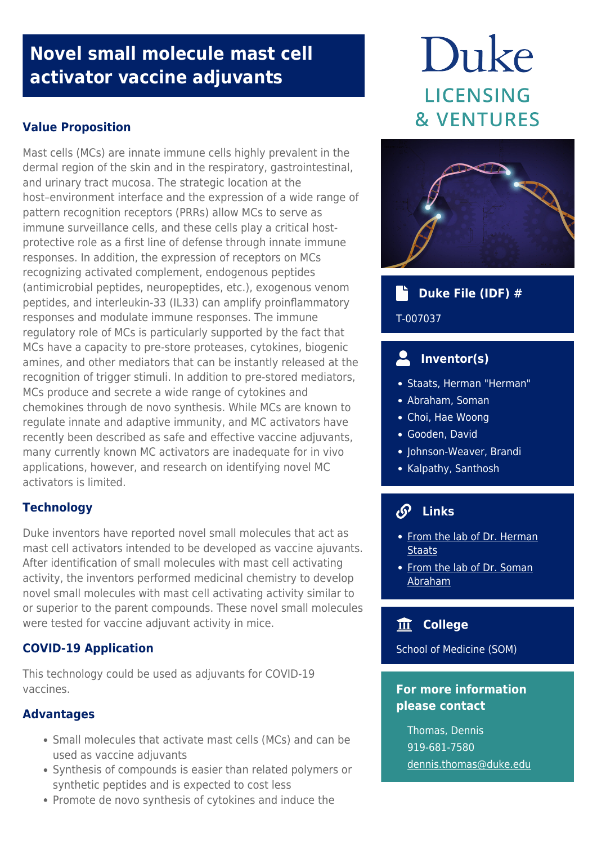# **Novel small molecule mast cell activator vaccine adjuvants**

# **Value Proposition**

Mast cells (MCs) are innate immune cells highly prevalent in the dermal region of the skin and in the respiratory, gastrointestinal, and urinary tract mucosa. The strategic location at the host–environment interface and the expression of a wide range of pattern recognition receptors (PRRs) allow MCs to serve as immune surveillance cells, and these cells play a critical hostprotective role as a first line of defense through innate immune responses. In addition, the expression of receptors on MCs recognizing activated complement, endogenous peptides (antimicrobial peptides, neuropeptides, etc.), exogenous venom peptides, and interleukin-33 (IL33) can amplify proinflammatory responses and modulate immune responses. The immune regulatory role of MCs is particularly supported by the fact that MCs have a capacity to pre-store proteases, cytokines, biogenic amines, and other mediators that can be instantly released at the recognition of trigger stimuli. In addition to pre-stored mediators, MCs produce and secrete a wide range of cytokines and chemokines through de novo synthesis. While MCs are known to regulate innate and adaptive immunity, and MC activators have recently been described as safe and effective vaccine adjuvants, many currently known MC activators are inadequate for in vivo applications, however, and research on identifying novel MC activators is limited.

## **Technology**

Duke inventors have reported novel small molecules that act as mast cell activators intended to be developed as vaccine ajuvants. After identification of small molecules with mast cell activating activity, the inventors performed medicinal chemistry to develop novel small molecules with mast cell activating activity similar to or superior to the parent compounds. These novel small molecules were tested for vaccine adjuvant activity in mice.

## **COVID-19 Application**

This technology could be used as adjuvants for COVID-19 vaccines.

#### **Advantages**

- Small molecules that activate mast cells (MCs) and can be used as vaccine adjuvants
- Synthesis of compounds is easier than related polymers or synthetic peptides and is expected to cost less
- Promote de novo synthesis of cytokines and induce the

# Duke **LICENSING & VENTURES**



# **Duke File (IDF) #**

T-007037

# **Inventor(s)**

- Staats, Herman "Herman"
- Abraham, Soman
- Choi, Hae Woong
- Gooden, David
- Johnson-Weaver, Brandi
- Kalpathy, Santhosh

#### $\mathcal{S}$  **Links**

- [From the lab of Dr. Herman](https://scholars.duke.edu/person/herman.staats) **[Staats](https://scholars.duke.edu/person/herman.staats)**
- [From the lab of Dr. Soman](https://scholars.duke.edu/person/soman.abraham) [Abraham](https://scholars.duke.edu/person/soman.abraham)

#### 血  **College**

School of Medicine (SOM)

### **For more information please contact**

Thomas, Dennis 919-681-7580 [dennis.thomas@duke.edu](mailto:dennis.thomas@duke.edu)